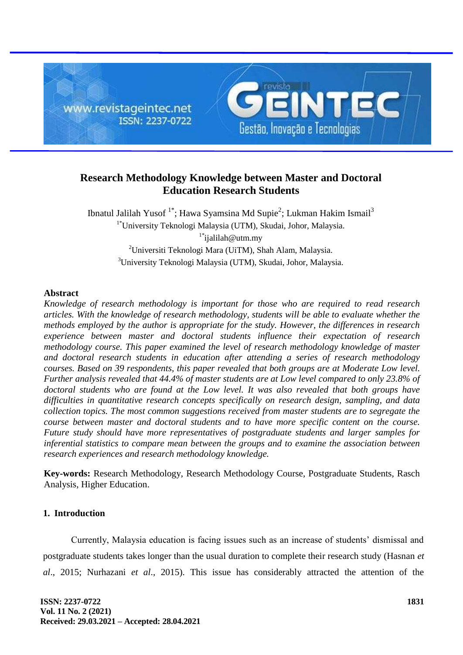

# **Research Methodology Knowledge between Master and Doctoral Education Research Students**

Ibnatul Jalilah Yusof <sup>1\*</sup>; Hawa Syamsina Md Supie<sup>2</sup>; Lukman Hakim Ismail<sup>3</sup> 1\*University Teknologi Malaysia (UTM), Skudai, Johor, Malaysia. 1\* ijalilah@utm.my <sup>2</sup>Universiti Teknologi Mara (UiTM), Shah Alam, Malaysia. <sup>3</sup>University Teknologi Malaysia (UTM), Skudai, Johor, Malaysia.

## **Abstract**

*Knowledge of research methodology is important for those who are required to read research articles. With the knowledge of research methodology, students will be able to evaluate whether the methods employed by the author is appropriate for the study. However, the differences in research experience between master and doctoral students influence their expectation of research methodology course. This paper examined the level of research methodology knowledge of master and doctoral research students in education after attending a series of research methodology courses. Based on 39 respondents, this paper revealed that both groups are at Moderate Low level. Further analysis revealed that 44.4% of master students are at Low level compared to only 23.8% of doctoral students who are found at the Low level. It was also revealed that both groups have difficulties in quantitative research concepts specifically on research design, sampling, and data collection topics. The most common suggestions received from master students are to segregate the course between master and doctoral students and to have more specific content on the course. Future study should have more representatives of postgraduate students and larger samples for inferential statistics to compare mean between the groups and to examine the association between research experiences and research methodology knowledge.*

**Key-words:** Research Methodology, Research Methodology Course, Postgraduate Students, Rasch Analysis, Higher Education.

# **1. Introduction**

Currently, Malaysia education is facing issues such as an increase of students' dismissal and postgraduate students takes longer than the usual duration to complete their research study (Hasnan *et al*., 2015; Nurhazani *et al*., 2015). This issue has considerably attracted the attention of the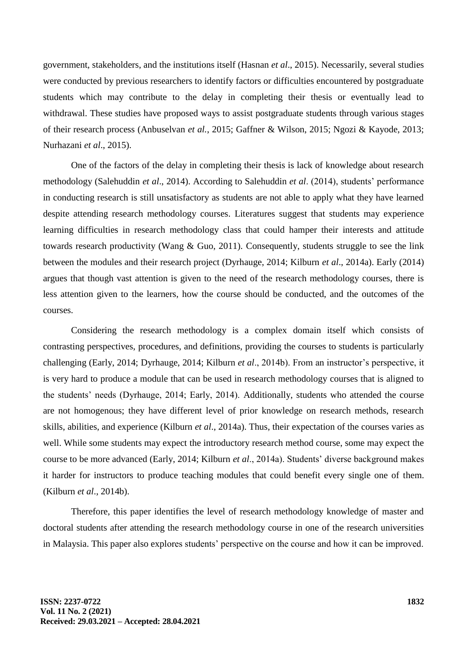government, stakeholders, and the institutions itself (Hasnan *et al*., 2015). Necessarily, several studies were conducted by previous researchers to identify factors or difficulties encountered by postgraduate students which may contribute to the delay in completing their thesis or eventually lead to withdrawal. These studies have proposed ways to assist postgraduate students through various stages of their research process (Anbuselvan *et al.*, 2015; Gaffner & Wilson, 2015; Ngozi & Kayode, 2013; Nurhazani *et al*., 2015).

One of the factors of the delay in completing their thesis is lack of knowledge about research methodology (Salehuddin *et al*., 2014). According to Salehuddin *et al*. (2014), students' performance in conducting research is still unsatisfactory as students are not able to apply what they have learned despite attending research methodology courses. Literatures suggest that students may experience learning difficulties in research methodology class that could hamper their interests and attitude towards research productivity (Wang & Guo, 2011). Consequently, students struggle to see the link between the modules and their research project (Dyrhauge, 2014; Kilburn *et al*., 2014a). Early (2014) argues that though vast attention is given to the need of the research methodology courses, there is less attention given to the learners, how the course should be conducted, and the outcomes of the courses.

Considering the research methodology is a complex domain itself which consists of contrasting perspectives, procedures, and definitions, providing the courses to students is particularly challenging (Early, 2014; Dyrhauge, 2014; Kilburn *et al*., 2014b). From an instructor's perspective, it is very hard to produce a module that can be used in research methodology courses that is aligned to the students' needs (Dyrhauge, 2014; Early, 2014). Additionally, students who attended the course are not homogenous; they have different level of prior knowledge on research methods, research skills, abilities, and experience (Kilburn *et al*., 2014a). Thus, their expectation of the courses varies as well. While some students may expect the introductory research method course, some may expect the course to be more advanced (Early, 2014; Kilburn *et al*., 2014a). Students' diverse background makes it harder for instructors to produce teaching modules that could benefit every single one of them. (Kilburn *et al*., 2014b).

Therefore, this paper identifies the level of research methodology knowledge of master and doctoral students after attending the research methodology course in one of the research universities in Malaysia. This paper also explores students' perspective on the course and how it can be improved.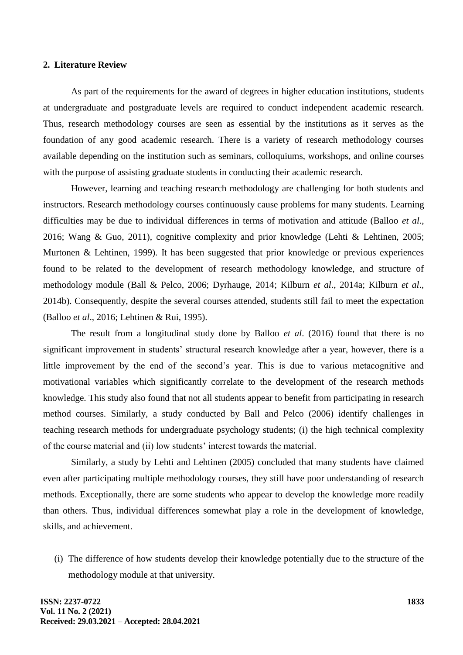#### **2. Literature Review**

As part of the requirements for the award of degrees in higher education institutions, students at undergraduate and postgraduate levels are required to conduct independent academic research. Thus, research methodology courses are seen as essential by the institutions as it serves as the foundation of any good academic research. There is a variety of research methodology courses available depending on the institution such as seminars, colloquiums, workshops, and online courses with the purpose of assisting graduate students in conducting their academic research.

However, learning and teaching research methodology are challenging for both students and instructors. Research methodology courses continuously cause problems for many students. Learning difficulties may be due to individual differences in terms of motivation and attitude (Balloo *et al*., 2016; Wang & Guo, 2011), cognitive complexity and prior knowledge (Lehti & Lehtinen, 2005; Murtonen & Lehtinen, 1999). It has been suggested that prior knowledge or previous experiences found to be related to the development of research methodology knowledge, and structure of methodology module (Ball & Pelco, 2006; Dyrhauge, 2014; Kilburn *et al*., 2014a; Kilburn *et al*., 2014b). Consequently, despite the several courses attended, students still fail to meet the expectation (Balloo *et al*., 2016; Lehtinen & Rui, 1995).

The result from a longitudinal study done by Balloo *et al*. (2016) found that there is no significant improvement in students' structural research knowledge after a year, however, there is a little improvement by the end of the second's year. This is due to various metacognitive and motivational variables which significantly correlate to the development of the research methods knowledge. This study also found that not all students appear to benefit from participating in research method courses. Similarly, a study conducted by Ball and Pelco (2006) identify challenges in teaching research methods for undergraduate psychology students; (i) the high technical complexity of the course material and (ii) low students' interest towards the material.

Similarly, a study by Lehti and Lehtinen (2005) concluded that many students have claimed even after participating multiple methodology courses, they still have poor understanding of research methods. Exceptionally, there are some students who appear to develop the knowledge more readily than others. Thus, individual differences somewhat play a role in the development of knowledge, skills, and achievement.

(i) The difference of how students develop their knowledge potentially due to the structure of the methodology module at that university.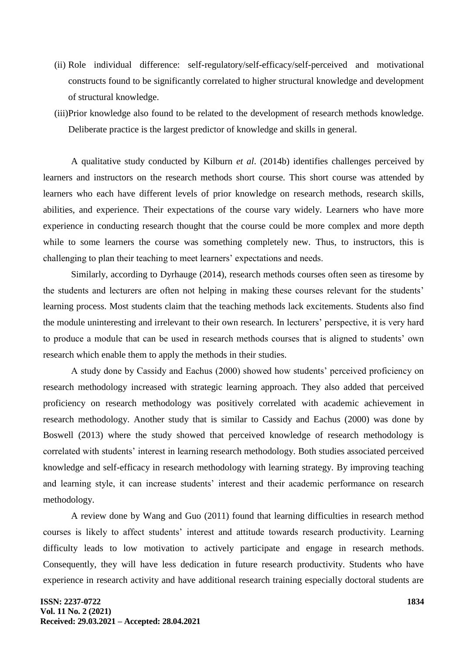- (ii) Role individual difference: self-regulatory/self-efficacy/self-perceived and motivational constructs found to be significantly correlated to higher structural knowledge and development of structural knowledge.
- (iii)Prior knowledge also found to be related to the development of research methods knowledge. Deliberate practice is the largest predictor of knowledge and skills in general.

A qualitative study conducted by Kilburn *et al*. (2014b) identifies challenges perceived by learners and instructors on the research methods short course. This short course was attended by learners who each have different levels of prior knowledge on research methods, research skills, abilities, and experience. Their expectations of the course vary widely. Learners who have more experience in conducting research thought that the course could be more complex and more depth while to some learners the course was something completely new. Thus, to instructors, this is challenging to plan their teaching to meet learners' expectations and needs.

Similarly, according to Dyrhauge (2014), research methods courses often seen as tiresome by the students and lecturers are often not helping in making these courses relevant for the students' learning process. Most students claim that the teaching methods lack excitements. Students also find the module uninteresting and irrelevant to their own research. In lecturers' perspective, it is very hard to produce a module that can be used in research methods courses that is aligned to students' own research which enable them to apply the methods in their studies.

A study done by Cassidy and Eachus (2000) showed how students' perceived proficiency on research methodology increased with strategic learning approach. They also added that perceived proficiency on research methodology was positively correlated with academic achievement in research methodology. Another study that is similar to Cassidy and Eachus (2000) was done by Boswell (2013) where the study showed that perceived knowledge of research methodology is correlated with students' interest in learning research methodology. Both studies associated perceived knowledge and self-efficacy in research methodology with learning strategy. By improving teaching and learning style, it can increase students' interest and their academic performance on research methodology.

A review done by Wang and Guo (2011) found that learning difficulties in research method courses is likely to affect students' interest and attitude towards research productivity. Learning difficulty leads to low motivation to actively participate and engage in research methods. Consequently, they will have less dedication in future research productivity. Students who have experience in research activity and have additional research training especially doctoral students are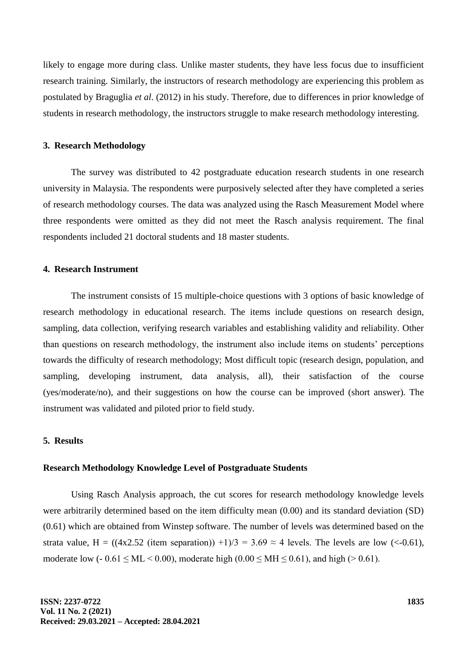likely to engage more during class. Unlike master students, they have less focus due to insufficient research training. Similarly, the instructors of research methodology are experiencing this problem as postulated by Braguglia *et al*. (2012) in his study. Therefore, due to differences in prior knowledge of students in research methodology, the instructors struggle to make research methodology interesting.

#### **3. Research Methodology**

The survey was distributed to 42 postgraduate education research students in one research university in Malaysia. The respondents were purposively selected after they have completed a series of research methodology courses. The data was analyzed using the Rasch Measurement Model where three respondents were omitted as they did not meet the Rasch analysis requirement. The final respondents included 21 doctoral students and 18 master students.

## **4. Research Instrument**

The instrument consists of 15 multiple-choice questions with 3 options of basic knowledge of research methodology in educational research. The items include questions on research design, sampling, data collection, verifying research variables and establishing validity and reliability. Other than questions on research methodology, the instrument also include items on students' perceptions towards the difficulty of research methodology; Most difficult topic (research design, population, and sampling, developing instrument, data analysis, all), their satisfaction of the course (yes/moderate/no), and their suggestions on how the course can be improved (short answer). The instrument was validated and piloted prior to field study.

# **5. Results**

#### **Research Methodology Knowledge Level of Postgraduate Students**

Using Rasch Analysis approach, the cut scores for research methodology knowledge levels were arbitrarily determined based on the item difficulty mean (0.00) and its standard deviation (SD) (0.61) which are obtained from Winstep software. The number of levels was determined based on the strata value, H = ((4x2.52 (item separation)) +1)/3 = 3.69  $\approx$  4 levels. The levels are low (<-0.61), moderate low  $(-0.61 \leq ML \leq 0.00)$ , moderate high  $(0.00 \leq MH \leq 0.61)$ , and high  $(> 0.61)$ .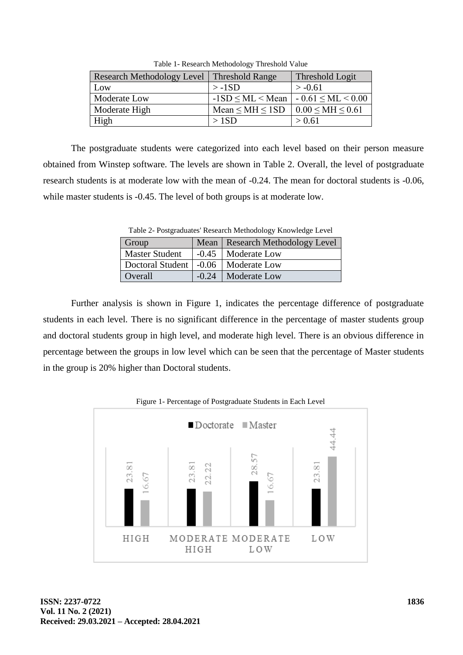| Research Methodology Level   Threshold Range |                           | Threshold Logit           |
|----------------------------------------------|---------------------------|---------------------------|
| Low                                          | $>$ -1SD                  | $> -0.61$                 |
| Moderate Low                                 | $-1SD \leq ML \leq Mean$  | $-0.61 \leq ML \leq 0.00$ |
| Moderate High                                | Mean $\leq$ MH $\leq$ 1SD | $0.00 \leq M H \leq 0.61$ |
| High                                         | >1SD                      | > 0.61                    |

Table 1- Research Methodology Threshold Value

The postgraduate students were categorized into each level based on their person measure obtained from Winstep software. The levels are shown in Table 2. Overall, the level of postgraduate research students is at moderate low with the mean of -0.24. The mean for doctoral students is -0.06, while master students is  $-0.45$ . The level of both groups is at moderate low.

Group Mean Research Methodology Level Master Student | -0.45 | Moderate Low Doctoral Student | -0.06 | Moderate Low Overall  $-0.24$  Moderate Low

Table 2- Postgraduates' Research Methodology Knowledge Level

Further analysis is shown in Figure 1, indicates the percentage difference of postgraduate students in each level. There is no significant difference in the percentage of master students group and doctoral students group in high level, and moderate high level. There is an obvious difference in percentage between the groups in low level which can be seen that the percentage of Master students in the group is 20% higher than Doctoral students.

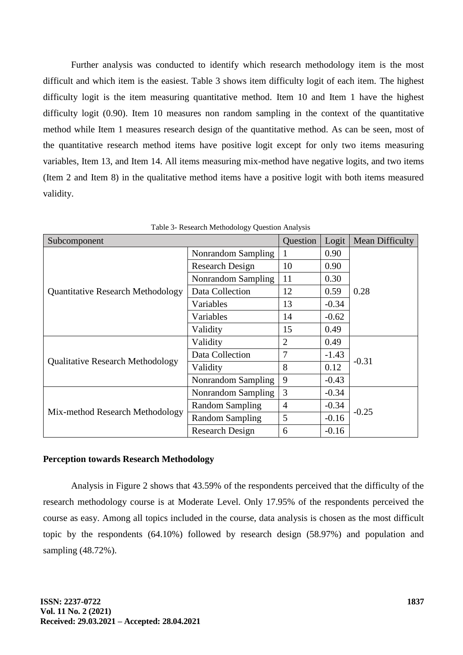Further analysis was conducted to identify which research methodology item is the most difficult and which item is the easiest. Table 3 shows item difficulty logit of each item. The highest difficulty logit is the item measuring quantitative method. Item 10 and Item 1 have the highest difficulty logit (0.90). Item 10 measures non random sampling in the context of the quantitative method while Item 1 measures research design of the quantitative method. As can be seen, most of the quantitative research method items have positive logit except for only two items measuring variables, Item 13, and Item 14. All items measuring mix-method have negative logits, and two items (Item 2 and Item 8) in the qualitative method items have a positive logit with both items measured validity.

| Subcomponent                             |                        | Question       | Logit   | Mean Difficulty |
|------------------------------------------|------------------------|----------------|---------|-----------------|
| <b>Quantitative Research Methodology</b> | Nonrandom Sampling     | 1              | 0.90    |                 |
|                                          | <b>Research Design</b> | 10             | 0.90    |                 |
|                                          | Nonrandom Sampling     | 11             | 0.30    |                 |
|                                          | Data Collection        | 12             | 0.59    | 0.28            |
|                                          | Variables              | 13             | $-0.34$ |                 |
|                                          | Variables              | 14             | $-0.62$ |                 |
|                                          | Validity               | 15             | 0.49    |                 |
| <b>Qualitative Research Methodology</b>  | Validity               | $\overline{2}$ | 0.49    |                 |
|                                          | Data Collection        | 7              | $-1.43$ | $-0.31$         |
|                                          | Validity               | 8              | 0.12    |                 |
|                                          | Nonrandom Sampling     | 9              | $-0.43$ |                 |
| Mix-method Research Methodology          | Nonrandom Sampling     | 3              | $-0.34$ |                 |
|                                          | <b>Random Sampling</b> | $\overline{4}$ | $-0.34$ | $-0.25$         |
|                                          | <b>Random Sampling</b> | 5              | $-0.16$ |                 |
|                                          | Research Design        | 6              | $-0.16$ |                 |

Table 3- Research Methodology Question Analysis

#### **Perception towards Research Methodology**

Analysis in Figure 2 shows that 43.59% of the respondents perceived that the difficulty of the research methodology course is at Moderate Level. Only 17.95% of the respondents perceived the course as easy. Among all topics included in the course, data analysis is chosen as the most difficult topic by the respondents (64.10%) followed by research design (58.97%) and population and sampling (48.72%).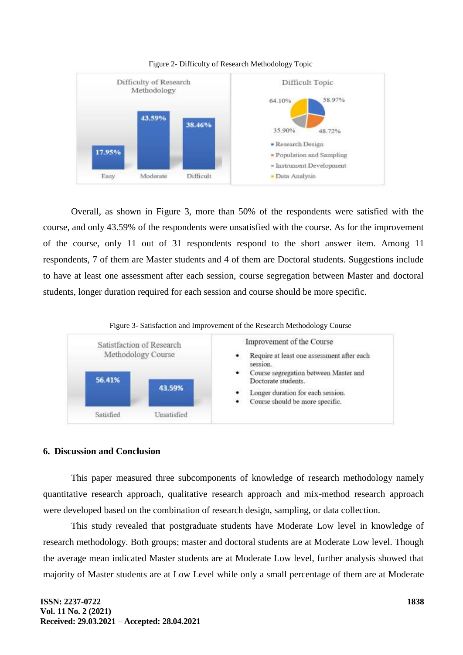

Figure 2- Difficulty of Research Methodology Topic

Overall, as shown in Figure 3, more than 50% of the respondents were satisfied with the course, and only 43.59% of the respondents were unsatisfied with the course. As for the improvement of the course, only 11 out of 31 respondents respond to the short answer item. Among 11 respondents, 7 of them are Master students and 4 of them are Doctoral students. Suggestions include to have at least one assessment after each session, course segregation between Master and doctoral students, longer duration required for each session and course should be more specific.





# **6. Discussion and Conclusion**

This paper measured three subcomponents of knowledge of research methodology namely quantitative research approach, qualitative research approach and mix-method research approach were developed based on the combination of research design, sampling, or data collection.

This study revealed that postgraduate students have Moderate Low level in knowledge of research methodology. Both groups; master and doctoral students are at Moderate Low level. Though the average mean indicated Master students are at Moderate Low level, further analysis showed that majority of Master students are at Low Level while only a small percentage of them are at Moderate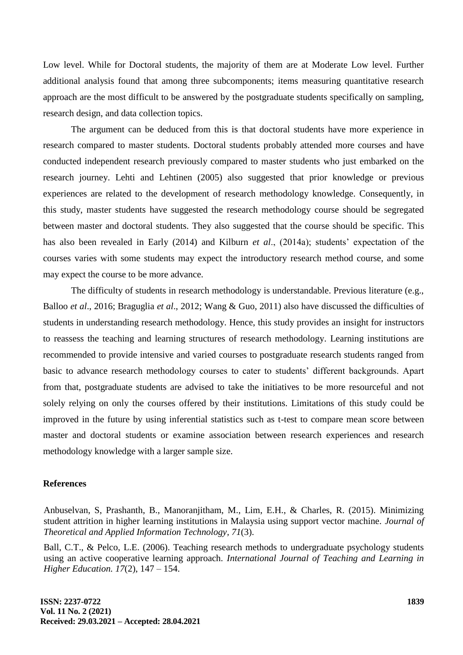Low level. While for Doctoral students, the majority of them are at Moderate Low level. Further additional analysis found that among three subcomponents; items measuring quantitative research approach are the most difficult to be answered by the postgraduate students specifically on sampling, research design, and data collection topics.

The argument can be deduced from this is that doctoral students have more experience in research compared to master students. Doctoral students probably attended more courses and have conducted independent research previously compared to master students who just embarked on the research journey. Lehti and Lehtinen (2005) also suggested that prior knowledge or previous experiences are related to the development of research methodology knowledge. Consequently, in this study, master students have suggested the research methodology course should be segregated between master and doctoral students. They also suggested that the course should be specific. This has also been revealed in Early (2014) and Kilburn *et al*., (2014a); students' expectation of the courses varies with some students may expect the introductory research method course, and some may expect the course to be more advance.

The difficulty of students in research methodology is understandable. Previous literature (e.g., Balloo *et al*., 2016; Braguglia *et al*., 2012; Wang & Guo, 2011) also have discussed the difficulties of students in understanding research methodology. Hence, this study provides an insight for instructors to reassess the teaching and learning structures of research methodology. Learning institutions are recommended to provide intensive and varied courses to postgraduate research students ranged from basic to advance research methodology courses to cater to students' different backgrounds. Apart from that, postgraduate students are advised to take the initiatives to be more resourceful and not solely relying on only the courses offered by their institutions. Limitations of this study could be improved in the future by using inferential statistics such as t-test to compare mean score between master and doctoral students or examine association between research experiences and research methodology knowledge with a larger sample size.

#### **References**

Anbuselvan, S, Prashanth, B., Manoranjitham, M., Lim, E.H., & Charles, R. (2015). Minimizing student attrition in higher learning institutions in Malaysia using support vector machine. *Journal of Theoretical and Applied Information Technology, 71*(3).

Ball, C.T., & Pelco, L.E. (2006). Teaching research methods to undergraduate psychology students using an active cooperative learning approach. *International Journal of Teaching and Learning in Higher Education. 17*(2), 147 – 154.